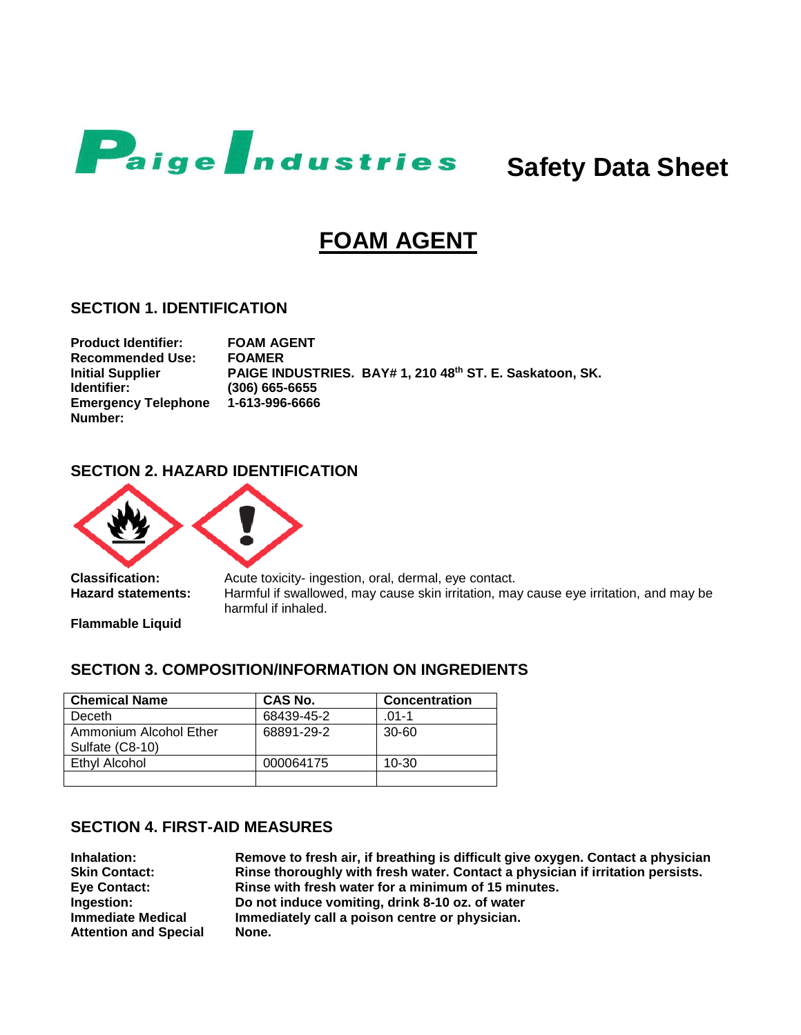

# **FOAM AGENT**

### **SECTION 1. IDENTIFICATION**

**Product Identifier: FOAM AGENT Recommended Use: FOAMER Initial Supplier Identifier: PAIGE INDUSTRIES. BAY# 1, 210 48th ST. E. Saskatoon, SK. (306) 665-6655 Emergency Telephone Number: 1-613-996-6666**

# **SECTION 2. HAZARD IDENTIFICATION**



**Classification:** Acute toxicity- ingestion, oral, dermal, eye contact. **Hazard statements:** Harmful if swallowed, may cause skin irritation, may cause eye irritation, and may be harmful if inhaled.

**Flammable Liquid**

# **SECTION 3. COMPOSITION/INFORMATION ON INGREDIENTS**

| <b>Chemical Name</b>                      | CAS No.    | <b>Concentration</b> |
|-------------------------------------------|------------|----------------------|
| Deceth                                    | 68439-45-2 | .01-1                |
| Ammonium Alcohol Ether<br>Sulfate (C8-10) | 68891-29-2 | $30 - 60$            |
| Ethyl Alcohol                             | 000064175  | $10 - 30$            |
|                                           |            |                      |

## **SECTION 4. FIRST-AID MEASURES**

**Immediate Medical Attention and Special** 

**Inhalation: Remove to fresh air, if breathing is difficult give oxygen. Contact a physician Skin Contact: Rinse thoroughly with fresh water. Contact a physician if irritation persists. Eye Contact: Rinse with fresh water for a minimum of 15 minutes. Ingestion: Do not induce vomiting, drink 8-10 oz. of water Immediately call a poison centre or physician. None.**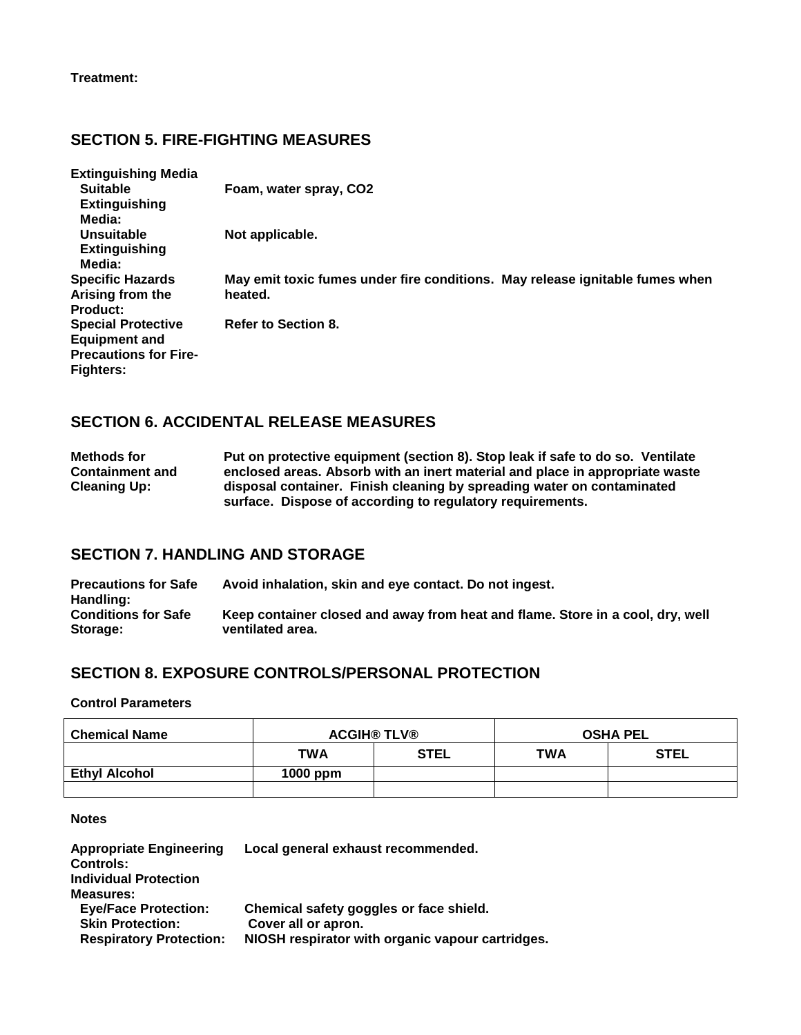# **SECTION 5. FIRE-FIGHTING MEASURES**

| <b>Extinguishing Media</b>   |                                                                              |
|------------------------------|------------------------------------------------------------------------------|
| <b>Suitable</b>              | Foam, water spray, CO2                                                       |
| <b>Extinguishing</b>         |                                                                              |
| Media:                       |                                                                              |
| Unsuitable                   | Not applicable.                                                              |
| <b>Extinguishing</b>         |                                                                              |
| Media:                       |                                                                              |
| <b>Specific Hazards</b>      | May emit toxic fumes under fire conditions. May release ignitable fumes when |
| Arising from the             | heated.                                                                      |
| <b>Product:</b>              |                                                                              |
| <b>Special Protective</b>    | <b>Refer to Section 8.</b>                                                   |
| <b>Equipment and</b>         |                                                                              |
| <b>Precautions for Fire-</b> |                                                                              |
| <b>Fighters:</b>             |                                                                              |

### **SECTION 6. ACCIDENTAL RELEASE MEASURES**

**Methods for Containment and Cleaning Up: Put on protective equipment (section 8). Stop leak if safe to do so. Ventilate enclosed areas. Absorb with an inert material and place in appropriate waste disposal container. Finish cleaning by spreading water on contaminated surface. Dispose of according to regulatory requirements.**

### **SECTION 7. HANDLING AND STORAGE**

**Precautions for Safe Handling: Avoid inhalation, skin and eye contact. Do not ingest. Conditions for Safe Storage: Keep container closed and away from heat and flame. Store in a cool, dry, well ventilated area.**

### **SECTION 8. EXPOSURE CONTROLS/PERSONAL PROTECTION**

#### **Control Parameters**

| <b>Chemical Name</b> | <b>ACGIH® TLV®</b> |             | <b>OSHA PEL</b> |             |
|----------------------|--------------------|-------------|-----------------|-------------|
|                      | <b>TWA</b>         | <b>STEL</b> | <b>TWA</b>      | <b>STEL</b> |
| <b>Ethyl Alcohol</b> | $1000$ ppm         |             |                 |             |
|                      |                    |             |                 |             |

#### **Notes**

| <b>Appropriate Engineering</b> | Local general exhaust recommended.               |
|--------------------------------|--------------------------------------------------|
| <b>Controls:</b>               |                                                  |
| <b>Individual Protection</b>   |                                                  |
| Measures:                      |                                                  |
| <b>Eye/Face Protection:</b>    | Chemical safety goggles or face shield.          |
| <b>Skin Protection:</b>        | Cover all or apron.                              |
| <b>Respiratory Protection:</b> | NIOSH respirator with organic vapour cartridges. |
|                                |                                                  |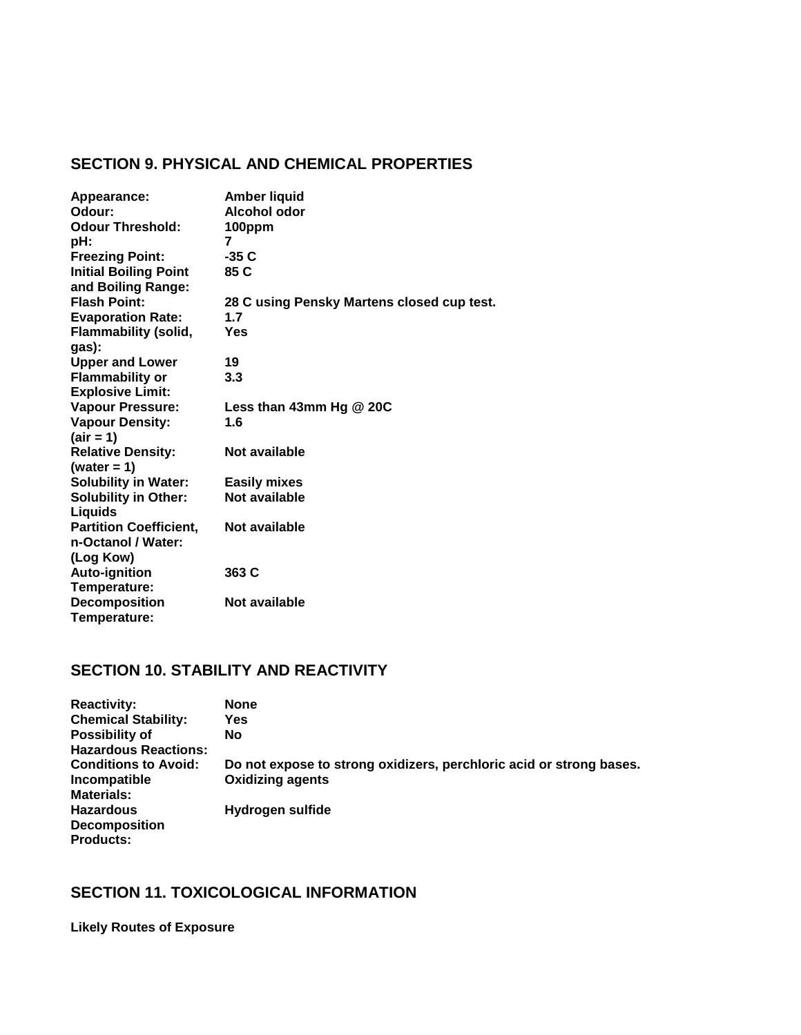# **SECTION 9. PHYSICAL AND CHEMICAL PROPERTIES**

| Appearance:                   | <b>Amber liquid</b>                        |
|-------------------------------|--------------------------------------------|
| Odour:                        | Alcohol odor                               |
| <b>Odour Threshold:</b>       | 100ppm                                     |
| pH:                           | 7                                          |
| <b>Freezing Point:</b>        | -35 C                                      |
| <b>Initial Boiling Point</b>  | 85 C                                       |
| and Boiling Range:            |                                            |
| <b>Flash Point:</b>           | 28 C using Pensky Martens closed cup test. |
| <b>Evaporation Rate:</b>      | 1.7                                        |
| <b>Flammability (solid,</b>   | Yes                                        |
| gas):                         |                                            |
| <b>Upper and Lower</b>        | 19                                         |
| <b>Flammability or</b>        | 3.3                                        |
| <b>Explosive Limit:</b>       |                                            |
| <b>Vapour Pressure:</b>       | Less than 43mm Hg $@$ 20C                  |
| <b>Vapour Density:</b>        | 1.6                                        |
| $\text{(air = 1)}$            |                                            |
| <b>Relative Density:</b>      | Not available                              |
| (water = $1$ )                |                                            |
| <b>Solubility in Water:</b>   | <b>Easily mixes</b>                        |
| <b>Solubility in Other:</b>   | Not available                              |
| Liquids                       |                                            |
| <b>Partition Coefficient,</b> | Not available                              |
| n-Octanol / Water:            |                                            |
| (Log Kow)                     |                                            |
| <b>Auto-ignition</b>          | 363 C                                      |
| Temperature:                  |                                            |
| <b>Decomposition</b>          | Not available                              |
| Temperature:                  |                                            |

# **SECTION 10. STABILITY AND REACTIVITY**

| <b>Reactivity:</b>          | <b>None</b>                                                         |
|-----------------------------|---------------------------------------------------------------------|
| <b>Chemical Stability:</b>  | Yes                                                                 |
| <b>Possibility of</b>       | <b>No</b>                                                           |
| <b>Hazardous Reactions:</b> |                                                                     |
| <b>Conditions to Avoid:</b> | Do not expose to strong oxidizers, perchloric acid or strong bases. |
| Incompatible                | <b>Oxidizing agents</b>                                             |
| <b>Materials:</b>           |                                                                     |
| <b>Hazardous</b>            | Hydrogen sulfide                                                    |
| <b>Decomposition</b>        |                                                                     |
| <b>Products:</b>            |                                                                     |

# **SECTION 11. TOXICOLOGICAL INFORMATION**

**Likely Routes of Exposure**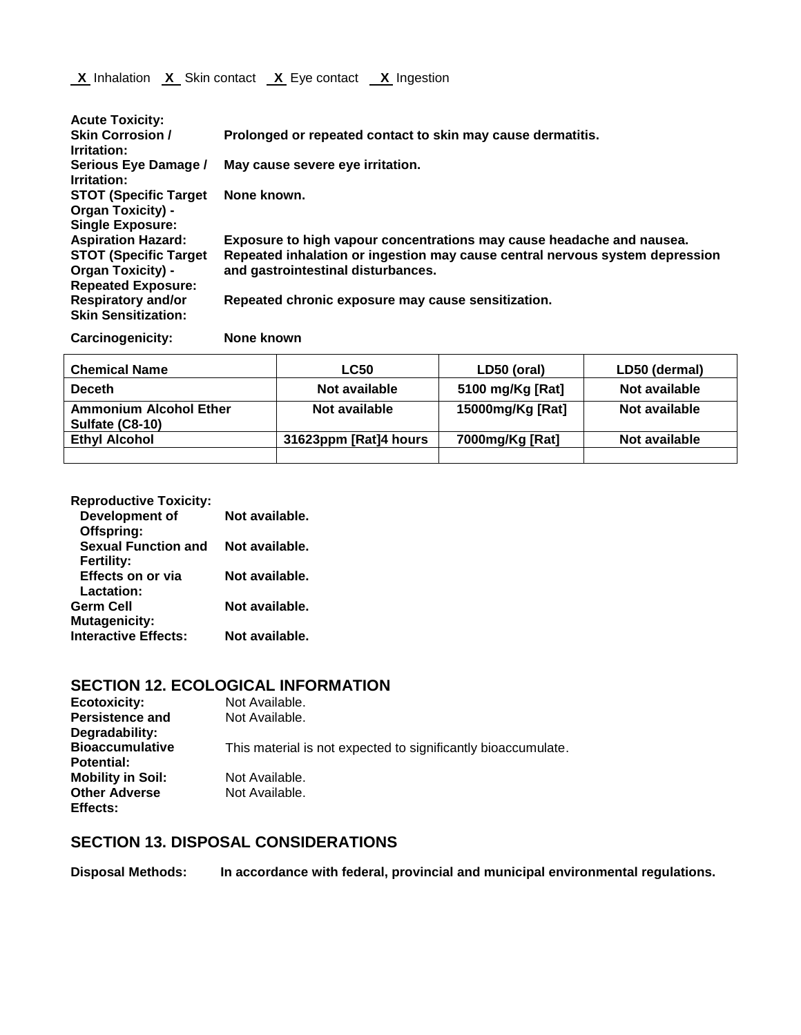| <b>Acute Toxicity:</b>                                                               |                                                                              |                                                    |             |               |  |
|--------------------------------------------------------------------------------------|------------------------------------------------------------------------------|----------------------------------------------------|-------------|---------------|--|
| <b>Skin Corrosion /</b><br>Irritation:                                               | Prolonged or repeated contact to skin may cause dermatitis.                  |                                                    |             |               |  |
| Serious Eye Damage /<br>Irritation:                                                  |                                                                              | May cause severe eye irritation.                   |             |               |  |
| <b>STOT (Specific Target)</b><br><b>Organ Toxicity) -</b><br><b>Single Exposure:</b> | None known.                                                                  |                                                    |             |               |  |
| <b>Aspiration Hazard:</b>                                                            | Exposure to high vapour concentrations may cause headache and nausea.        |                                                    |             |               |  |
| <b>STOT (Specific Target)</b>                                                        | Repeated inhalation or ingestion may cause central nervous system depression |                                                    |             |               |  |
| <b>Organ Toxicity) -</b>                                                             |                                                                              | and gastrointestinal disturbances.                 |             |               |  |
| <b>Repeated Exposure:</b>                                                            |                                                                              |                                                    |             |               |  |
| <b>Respiratory and/or</b>                                                            |                                                                              | Repeated chronic exposure may cause sensitization. |             |               |  |
| <b>Skin Sensitization:</b>                                                           |                                                                              |                                                    |             |               |  |
| <b>Carcinogenicity:</b>                                                              | None known                                                                   |                                                    |             |               |  |
| <b>Chemical Name</b>                                                                 |                                                                              | <b>LC50</b>                                        | LD50 (oral) | LD50 (dermal) |  |

| <b>UIEIIIUAI NAIIIE</b>                          | Lvju                  | LDJU (UI AI)     | LDJU (UCHIJAH |
|--------------------------------------------------|-----------------------|------------------|---------------|
| <b>Deceth</b>                                    | Not available         | 5100 mg/Kg [Rat] | Not available |
| <b>Ammonium Alcohol Ether</b><br>Sulfate (C8-10) | Not available         | 15000mg/Kg [Rat] | Not available |
| <b>Ethyl Alcohol</b>                             | 31623ppm [Rat]4 hours | 7000mg/Kg [Rat]  | Not available |
|                                                  |                       |                  |               |

| <b>Reproductive Toxicity:</b> |                |
|-------------------------------|----------------|
| Development of                | Not available. |
| Offspring:                    |                |
| <b>Sexual Function and</b>    | Not available. |
| <b>Fertility:</b>             |                |
| Effects on or via             | Not available. |
| Lactation:                    |                |
| <b>Germ Cell</b>              | Not available. |
| <b>Mutagenicity:</b>          |                |
| <b>Interactive Effects:</b>   | Not available. |
|                               |                |

# **SECTION 12. ECOLOGICAL INFORMATION**

| <b>Ecotoxicity:</b>      | Not Available.                                                |
|--------------------------|---------------------------------------------------------------|
| <b>Persistence and</b>   | Not Available.                                                |
| Degradability:           |                                                               |
| <b>Bioaccumulative</b>   | This material is not expected to significantly bioaccumulate. |
| <b>Potential:</b>        |                                                               |
| <b>Mobility in Soil:</b> | Not Available.                                                |
| <b>Other Adverse</b>     | Not Available.                                                |
| Effects:                 |                                                               |

# **SECTION 13. DISPOSAL CONSIDERATIONS**

**Disposal Methods: In accordance with federal, provincial and municipal environmental regulations.**